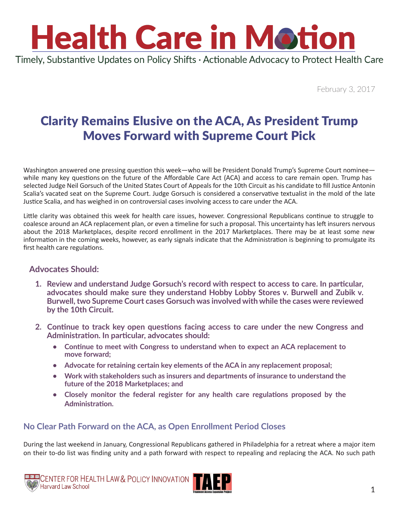

Timely, Substantive Updates on Policy Shifts · Actionable Advocacy to Protect Health Care

February 3, 2017

## Clarity Remains Elusive on the ACA, As President Trump Moves Forward with Supreme Court Pick

Washington answered one pressing question this week—who will be President Donald Trump's Supreme Court nominee while many key questions on the future of the Affordable Care Act (ACA) and access to care remain open. Trump has selected Judge Neil Gorsuch of the United States Court of Appeals for the 10th Circuit as his candidate to fill Justice Antonin Scalia's vacated seat on the Supreme Court. Judge Gorsuch is considered a conservative textualist in the mold of the late Justice Scalia, and has weighed in on controversial cases involving access to care under the ACA.

Little clarity was obtained this week for health care issues, however. Congressional Republicans continue to struggle to coalesce around an ACA replacement plan, or even a timeline for such a proposal. This uncertainty has left insurers nervous about the 2018 Marketplaces, despite record enrollment in the 2017 Marketplaces. There may be at least some new information in the coming weeks, however, as early signals indicate that the Administration is beginning to promulgate its first health care regulations.

### **Advocates Should:**

- **1. Review and understand Judge Gorsuch's record with respect to access to care. In particular, advocates should make sure they understand Hobby Lobby Stores v. Burwell and Zubik v. Burwell, two Supreme Court cases Gorsuch was involved with while the cases were reviewed by the 10th Circuit.**
- **2. Continue to track key open questions facing access to care under the new Congress and Administration. In particular, advocates should:**
	- **• Continue to meet with Congress to understand when to expect an ACA replacement to move forward;**
	- **• Advocate for retaining certain key elements of the ACA in any replacement proposal;**
	- **• Work with stakeholders such as insurers and departments of insurance to understand the future of the 2018 Marketplaces; and**
	- **• Closely monitor the federal register for any health care regulations proposed by the Administration.**

### **No Clear Path Forward on the ACA, as Open Enrollment Period Closes**

During the last weekend in January, Congressional Republicans gathered in Philadelphia for a retreat where a major item on their to-do list was finding unity and a path forward with respect to repealing and replacing the ACA. No such path



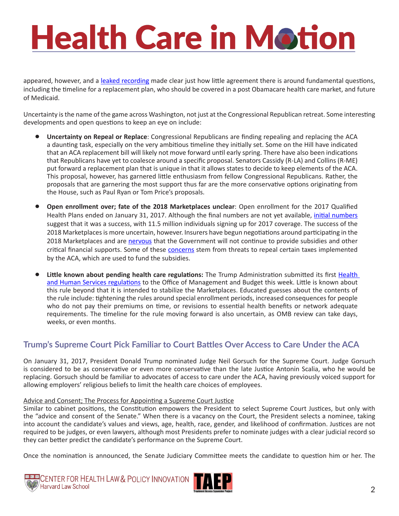# **Health Care in Motion**

appeared, however, and a [leaked recording](https://www.nytimes.com/2017/01/27/us/politics/affordable-care-act-republican-retreat.html) made clear just how little agreement there is around fundamental questions, including the timeline for a replacement plan, who should be covered in a post Obamacare health care market, and future of Medicaid.

Uncertainty is the name of the game across Washington, not just at the Congressional Republican retreat. Some interesting developments and open questions to keep an eye on include:

- **Uncertainty on Repeal or Replace**: Congressional Republicans are finding repealing and replacing the ACA a daunting task, especially on the very ambitious timeline they initially set. Some on the Hill have indicated that an ACA replacement bill will likely not move forward until early spring. There have also been indications that Republicans have yet to coalesce around a specific proposal. Senators Cassidy (R-LA) and Collins (R-ME) put forward a replacement plan that is unique in that it allows states to decide to keep elements of the ACA. This proposal, however, has garnered little enthusiasm from fellow Congressional Republicans. Rather, the proposals that are garnering the most support thus far are the more conservative options originating from the House, such as Paul Ryan or Tom Price's proposals.
- **Open enrollment over; fate of the 2018 Marketplaces unclear**: Open enrollment for the 2017 Qualified Health Plans ended on January 31, 2017. Although the final numbers are not yet available, *[initial numbers](https://www.cms.gov/Newsroom/MediaReleaseDatabase/Fact-sheets/2017-Fact-Sheet-items/2017-01-10.html)* suggest that it was a success, with 11.5 million individuals signing up for 2017 coverage. The success of the 2018 Marketplaces is more uncertain, however. Insurers have begun negotiations around participating in the 2018 Marketplaces and are [nervous](http://www.help.senate.gov/imo/media/doc/TavennerTestimony1.pdf) that the Government will not continue to provide subsidies and other critical financial supports. Some of these **[concerns](https://www.washingtonpost.com/national/health-science/health-insurers-warn-of-wider-defections-from-aca-marketplaces-for-2018/2017/02/01/c507ec78-e807-11e6-bf6f-301b6b443624_story.html?utm_term=.456a4c238ca3)** stem from threats to repeal certain taxes implemented by the ACA, which are used to fund the subsidies.
- **Little known about pending health care regulations:** The Trump Administration submitted its first [Health](https://www.reginfo.gov/public/do/eoDetails?rrid=127192)  [and Human Services regulations](https://www.reginfo.gov/public/do/eoDetails?rrid=127192) to the Office of Management and Budget this week. Little is known about this rule beyond that it is intended to stabilize the Marketplaces. Educated guesses about the contents of the rule include: tightening the rules around special enrollment periods, increased consequences for people who do not pay their premiums on time, or revisions to essential health benefits or network adequate requirements. The timeline for the rule moving forward is also uncertain, as OMB review can take days, weeks, or even months.

### **Trump's Supreme Court Pick Familiar to Court Battles Over Access to Care Under the ACA**

On January 31, 2017, President Donald Trump nominated Judge Neil Gorsuch for the Supreme Court. Judge Gorsuch is considered to be as conservative or even more conservative than the late Justice Antonin Scalia, who he would be replacing. Gorsuch should be familiar to advocates of access to care under the ACA, having previously voiced support for allowing employers' religious beliefs to limit the health care choices of employees.

#### Advice and Consent; The Process for Appointing a Supreme Court Justice

Similar to cabinet positions, the Constitution empowers the President to select Supreme Court Justices, but only with the "advice and consent of the Senate." When there is a vacancy on the Court, the President selects a nominee, taking into account the candidate's values and views, age, health, race, gender, and likelihood of confirmation. Justices are not required to be judges, or even lawyers, although most Presidents prefer to nominate judges with a clear judicial record so they can better predict the candidate's performance on the Supreme Court.

Once the nomination is announced, the Senate Judiciary Committee meets the candidate to question him or her. The



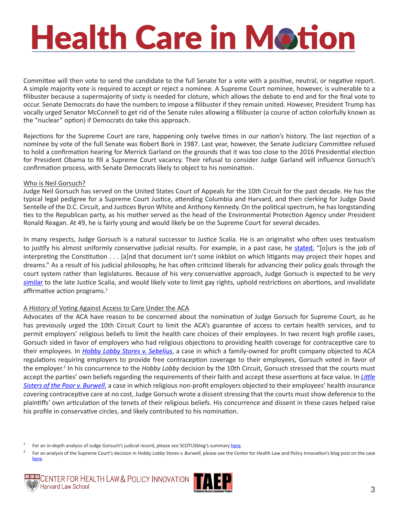# **Health Care in Motion**

Committee will then vote to send the candidate to the full Senate for a vote with a positive, neutral, or negative report. A simple majority vote is required to accept or reject a nominee. A Supreme Court nominee, however, is vulnerable to a filibuster because a supermajority of sixty is needed for cloture, which allows the debate to end and for the final vote to occur. Senate Democrats do have the numbers to impose a filibuster if they remain united. However, President Trump has vocally urged Senator McConnell to get rid of the Senate rules allowing a filibuster (a course of action colorfully known as the "nuclear" option) if Democrats do take this approach.

Rejections for the Supreme Court are rare, happening only twelve times in our nation's history. The last rejection of a nominee by vote of the full Senate was Robert Bork in 1987. Last year, however, the Senate Judiciary Committee refused to hold a confirmation hearing for Merrick Garland on the grounds that it was too close to the 2016 Presidential election for President Obama to fill a Supreme Court vacancy. Their refusal to consider Judge Garland will influence Gorsuch's confirmation process, with Senate Democrats likely to object to his nomination.

#### Who is Neil Gorsuch?

Judge Neil Gorsuch has served on the United States Court of Appeals for the 10th Circuit for the past decade. He has the typical legal pedigree for a Supreme Court Justice, attending Columbia and Harvard, and then clerking for Judge David Sentelle of the D.C. Circuit, and Justices Byron White and Anthony Kennedy. On the political spectrum, he has longstanding ties to the Republican party, as his mother served as the head of the Environmental Protection Agency under President Ronald Reagan. At 49, he is fairly young and would likely be on the Supreme Court for several decades.

In many respects, Judge Gorsuch is a natural successor to Justice Scalia. He is an originalist who often uses textualism to justify his almost uniformly conservative judicial results. For example, in a past case, he [stated](https://www.ca10.uscourts.gov/opinions/14/14-2083.pdf), "[o]urs is the job of interpreting the Constitution . . . [a]nd that document isn't some inkblot on which litigants may project their hopes and dreams." As a result of his judicial philosophy, he has often criticized liberals for advancing their policy goals through the court system rather than legislatures. Because of his very conservative approach, Judge Gorsuch is expected to be very [similar](https://www.nytimes.com/interactive/2017/01/31/us/politics/trump-supreme-court-nominee.html?hp&action=click&pgtype=Homepage&clickSource=story-heading&module=b-lede-package-region®ion=top-news&WT.nav=top-news) to the late Justice Scalia, and would likely vote to limit gay rights, uphold restrictions on abortions, and invalidate affirmative action programs.<sup>1</sup>

#### A History of Voting Against Access to Care Under the ACA

Advocates of the ACA have reason to be concerned about the nomination of Judge Gorsuch for Supreme Court, as he has previously urged the 10th Circuit Court to limit the ACA's guarantee of access to certain health services, and to permit employers' religious beliefs to limit the health care choices of their employees. In two recent high profile cases, Gorsuch sided in favor of employers who had religious objections to providing health coverage for contraceptive care to their employees. In *[Hobby Lobby Stores v. Sebelius](https://www.ca10.uscourts.gov/opinions/12/12-6294.pdf)*, a case in which a family-owned for profit company objected to ACA regulations requiring employers to provide free contraception coverage to their employees, Gorsuch voted in favor of the employer.<sup>2</sup> In his concurrence to the *Hobby Lobby* decision by the 10th Circuit, Gorsuch stressed that the courts must accept the parties' own beliefs regarding the requirements of their faith and accept these assertions at face value. In *[Little](https://www.ca10.uscourts.gov/opinions/13/13-1540.pdf)  [Sisters of the Poor v. Burwell](https://www.ca10.uscourts.gov/opinions/13/13-1540.pdf)*, a case in which religious non-profit employers objected to their employees' health insurance covering contraceptive care at no cost, Judge Gorsuch wrote a dissent stressing that the courts must show deference to the plaintiffs' own articulation of the tenets of their religious beliefs. His concurrence and dissent in these cases helped raise his profile in conservative circles, and likely contributed to his nomination.

<sup>&</sup>lt;sup>2</sup> For an analysis of the Supreme Court's decision in *Hobby Lobby Stores v. Burwell*, please see the Center for Health Law and Policy Innovation's blog post on the case [here](http://www.chlpi.org/can-a-for-profit-corporation-exercise-religion/).





<sup>&</sup>lt;sup>1</sup> For an in-depth analysis of Judge Gorsuch's judicial record, please see SCOTUSblog's summary [here](http://www.scotusblog.com/2017/01/potential-nominee-profile-neil-gorsuch/).